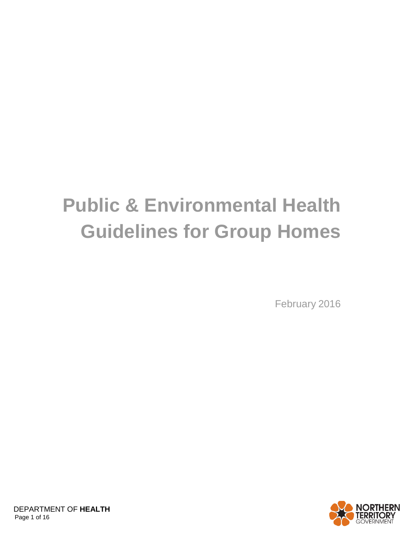# **Public & Environmental Health Guidelines for Group Homes**

February 2016

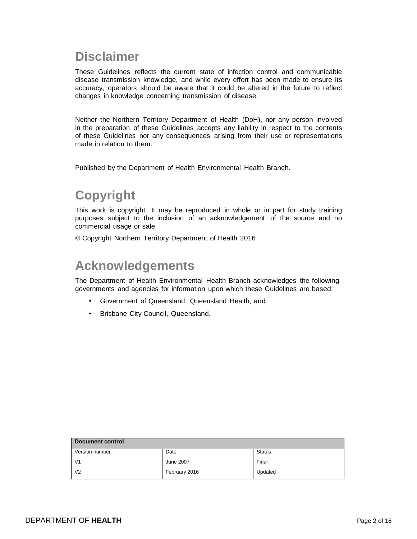# **Disclaimer**

These Guidelines reflects the current state of infection control and communicable disease transmission knowledge, and while every effort has been made to ensure its accuracy, operators should be aware that it could be altered in the future to reflect changes in knowledge concerning transmission of disease.

Neither the Northern Territory Department of Health (DoH), nor any person involved in the preparation of these Guidelines accepts any liability in respect to the contents of these Guidelines nor any consequences arising from their use or representations made in relation to them.

Published by the Department of Health Environmental Health Branch.

# **Copyright**

This work is copyright. It may be reproduced in whole or in part for study training purposes subject to the inclusion of an acknowledgement of the source and no commercial usage or sale.

© Copyright Northern Territory Department of Health 2016

# **Acknowledgements**

The Department of Health Environmental Health Branch acknowledges the following governments and agencies for information upon which these Guidelines are based:

- Government of Queensland, Queensland Health; and
- Brisbane City Council, Queensland.

| Document control |               |               |  |  |  |
|------------------|---------------|---------------|--|--|--|
| Version number   | Date          | <b>Status</b> |  |  |  |
| V <sub>1</sub>   | June 2007     | Final         |  |  |  |
| V <sub>2</sub>   | February 2016 | Updated       |  |  |  |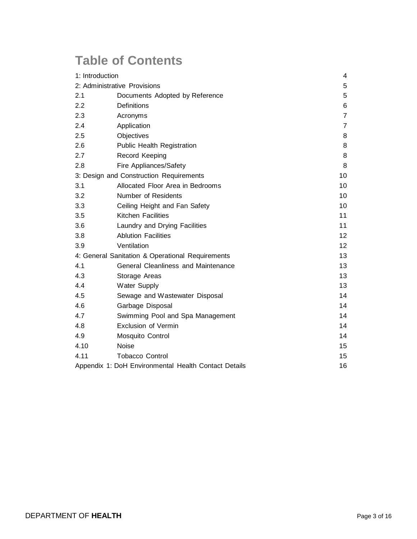# **Table of Contents**

| 1: Introduction                                  |                                                      | 4               |
|--------------------------------------------------|------------------------------------------------------|-----------------|
| 2: Administrative Provisions                     |                                                      | 5               |
| 2.1                                              | Documents Adopted by Reference                       | 5               |
| 2.2                                              | Definitions                                          | 6               |
| 2.3                                              | Acronyms                                             | $\overline{7}$  |
| 2.4                                              | Application                                          | $\overline{7}$  |
| 2.5                                              | Objectives                                           | 8               |
| 2.6                                              | <b>Public Health Registration</b>                    | 8               |
| 2.7                                              | Record Keeping                                       | 8               |
| 2.8                                              | Fire Appliances/Safety                               | 8               |
|                                                  | 3: Design and Construction Requirements              | 10              |
| 3.1                                              | Allocated Floor Area in Bedrooms                     | 10              |
| 3.2                                              | Number of Residents                                  | 10              |
| 3.3                                              | Ceiling Height and Fan Safety                        | 10              |
| 3.5                                              | Kitchen Facilities                                   | 11              |
| 3.6                                              | Laundry and Drying Facilities                        | 11              |
| 3.8                                              | <b>Ablution Facilities</b>                           | 12 <sup>2</sup> |
| 3.9                                              | Ventilation                                          | 12              |
| 4: General Sanitation & Operational Requirements |                                                      | 13              |
| 4.1                                              | <b>General Cleanliness and Maintenance</b>           | 13              |
| 4.3                                              | Storage Areas                                        | 13              |
| 4.4                                              | Water Supply                                         | 13              |
| 4.5                                              | Sewage and Wastewater Disposal                       | 14              |
| 4.6                                              | Garbage Disposal                                     | 14              |
| 4.7                                              | Swimming Pool and Spa Management                     | 14              |
| 4.8                                              | Exclusion of Vermin                                  | 14              |
| 4.9                                              | Mosquito Control                                     | 14              |
| 4.10                                             | <b>Noise</b>                                         | 15              |
| 4.11                                             | <b>Tobacco Control</b>                               | 15              |
|                                                  | Appendix 1: DoH Environmental Health Contact Details |                 |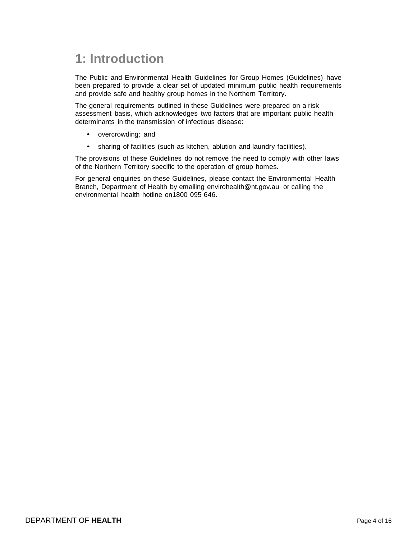# **1: Introduction**

The Public and Environmental Health Guidelines for Group Homes (Guidelines) have been prepared to provide a clear set of updated minimum public health requirements and provide safe and healthy group homes in the Northern Territory.

The general requirements outlined in these Guidelines were prepared on a risk assessment basis, which acknowledges two factors that are important public health determinants in the transmission of infectious disease:

- overcrowding; and
- sharing of facilities (such as kitchen, ablution and laundry facilities).

The provisions of these Guidelines do not remove the need to comply with other laws of the Northern Territory specific to the operation of group homes.

For general enquiries on these Guidelines, please contact the Environmental Health Branch, Department of Health by emailing [envirohealth@nt.gov.au o](mailto:envirohealth@nt.gov.au)r calling the environmental health hotline on1800 095 646.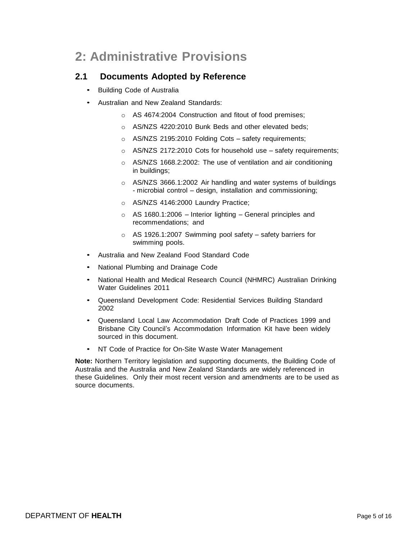# **2: Administrative Provisions**

# **2.1 Documents Adopted by Reference**

- Building Code of Australia
- Australian and New Zealand Standards:
	- o AS 4674:2004 Construction and fitout of food premises;
	- o AS/NZS 4220:2010 Bunk Beds and other elevated beds;
	- o AS/NZS 2195:2010 Folding Cots safety requirements;
	- o AS/NZS 2172:2010 Cots for household use safety requirements;
	- o AS/NZS 1668.2:2002: The use of ventilation and air conditioning in buildings;
	- o AS/NZS 3666.1:2002 Air handling and water systems of buildings - microbial control – design, installation and commissioning;
	- o AS/NZS 4146:2000 Laundry Practice;
	- $\circ$  AS 1680.1:2006 Interior lighting General principles and recommendations; and
	- o AS 1926.1:2007 Swimming pool safety safety barriers for swimming pools.
- Australia and New Zealand Food Standard Code
- National Plumbing and Drainage Code
- National Health and Medical Research Council (NHMRC) Australian Drinking Water Guidelines 2011
- Queensland Development Code: Residential Services Building Standard 2002
- Queensland Local Law Accommodation Draft Code of Practices 1999 and Brisbane City Council's Accommodation Information Kit have been widely sourced in this document.
- NT Code of Practice for On-Site Waste Water Management

**Note:** Northern Territory legislation and supporting documents, the Building Code of Australia and the Australia and New Zealand Standards are widely referenced in these Guidelines. Only their most recent version and amendments are to be used as source documents.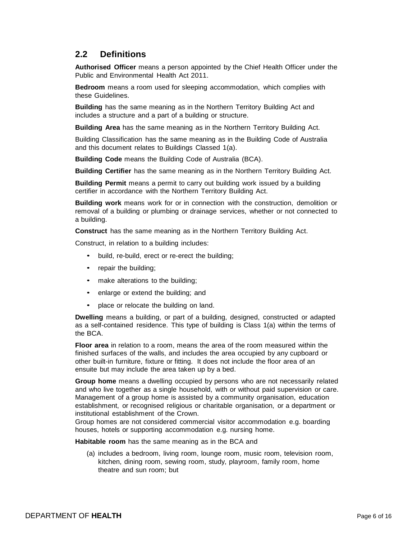# **2.2 Definitions**

**Authorised Officer** means a person appointed by the Chief Health Officer under the Public and Environmental Health Act 2011.

**Bedroom** means a room used for sleeping accommodation, which complies with these Guidelines.

**Building** has the same meaning as in the Northern Territory Building Act and includes a structure and a part of a building or structure.

**Building Area** has the same meaning as in the Northern Territory Building Act.

Building Classification has the same meaning as in the Building Code of Australia and this document relates to Buildings Classed 1(a).

**Building Code** means the Building Code of Australia (BCA).

**Building Certifier** has the same meaning as in the Northern Territory Building Act.

**Building Permit** means a permit to carry out building work issued by a building certifier in accordance with the Northern Territory Building Act.

**Building work** means work for or in connection with the construction, demolition or removal of a building or plumbing or drainage services, whether or not connected to a building.

**Construct** has the same meaning as in the Northern Territory Building Act.

Construct, in relation to a building includes:

- build, re-build, erect or re-erect the building;
- repair the building;
- make alterations to the building;
- enlarge or extend the building; and
- place or relocate the building on land.

**Dwelling** means a building, or part of a building, designed, constructed or adapted as a self-contained residence. This type of building is Class 1(a) within the terms of the BCA.

**Floor area** in relation to a room, means the area of the room measured within the finished surfaces of the walls, and includes the area occupied by any cupboard or other built-in furniture, fixture or fitting. It does not include the floor area of an ensuite but may include the area taken up by a bed.

**Group home** means a dwelling occupied by persons who are not necessarily related and who live together as a single household, with or without paid supervision or care. Management of a group home is assisted by a community organisation, education establishment, or recognised religious or charitable organisation, or a department or institutional establishment of the Crown.

Group homes are not considered commercial visitor accommodation e.g. boarding houses, hotels or supporting accommodation e.g. nursing home.

**Habitable room** has the same meaning as in the BCA and

(a) includes a bedroom, living room, lounge room, music room, television room, kitchen, dining room, sewing room, study, playroom, family room, home theatre and sun room; but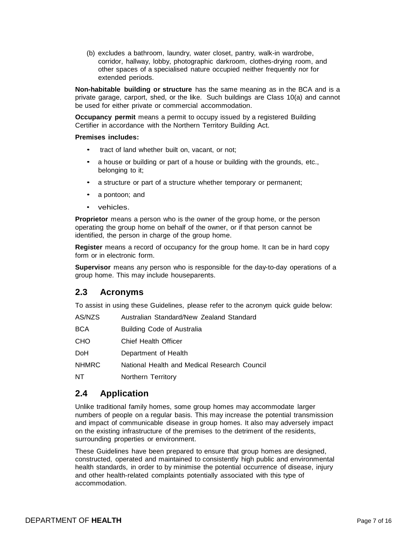(b) excludes a bathroom, laundry, water closet, pantry, walk-in wardrobe, corridor, hallway, lobby, photographic darkroom, clothes-drying room, and other spaces of a specialised nature occupied neither frequently nor for extended periods.

**Non-habitable building or structure** has the same meaning as in the BCA and is a private garage, carport, shed, or the like. Such buildings are Class 10(a) and cannot be used for either private or commercial accommodation.

**Occupancy permit** means a permit to occupy issued by a registered Building Certifier in accordance with the Northern Territory Building Act.

#### **Premises includes:**

- tract of land whether built on, vacant, or not;
- a house or building or part of a house or building with the grounds, etc., belonging to it;
- a structure or part of a structure whether temporary or permanent;
- a pontoon; and
- vehicles.

**Proprietor** means a person who is the owner of the group home, or the person operating the group home on behalf of the owner, or if that person cannot be identified, the person in charge of the group home.

**Register** means a record of occupancy for the group home. It can be in hard copy form or in electronic form.

**Supervisor** means any person who is responsible for the day-to-day operations of a group home. This may include houseparents.

### **2.3 Acronyms**

To assist in using these Guidelines, please refer to the acronym quick guide below:

| AS/NZS       | Australian Standard/New Zealand Standard     |
|--------------|----------------------------------------------|
| <b>BCA</b>   | <b>Building Code of Australia</b>            |
| <b>CHO</b>   | Chief Health Officer                         |
| <b>DoH</b>   | Department of Health                         |
| <b>NHMRC</b> | National Health and Medical Research Council |
| NT           | Northern Territory                           |
|              |                                              |

### **2.4 Application**

Unlike traditional family homes, some group homes may accommodate larger numbers of people on a regular basis. This may increase the potential transmission and impact of communicable disease in group homes. It also may adversely impact on the existing infrastructure of the premises to the detriment of the residents, surrounding properties or environment.

These Guidelines have been prepared to ensure that group homes are designed, constructed, operated and maintained to consistently high public and environmental health standards, in order to by minimise the potential occurrence of disease, injury and other health-related complaints potentially associated with this type of accommodation.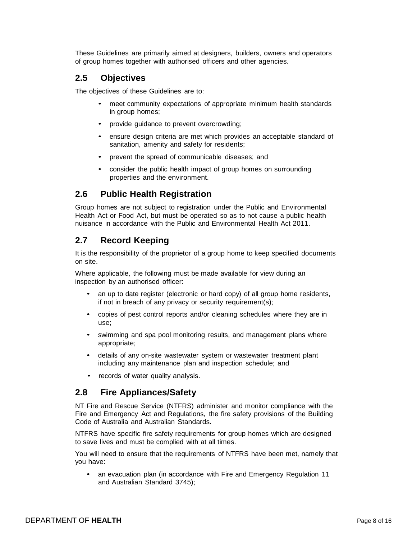These Guidelines are primarily aimed at designers, builders, owners and operators of group homes together with authorised officers and other agencies.

### **2.5 Objectives**

The objectives of these Guidelines are to:

- meet community expectations of appropriate minimum health standards in group homes;
- provide guidance to prevent overcrowding;
- ensure design criteria are met which provides an acceptable standard of sanitation, amenity and safety for residents;
- prevent the spread of communicable diseases; and
- consider the public health impact of group homes on surrounding properties and the environment.

# **2.6 Public Health Registration**

Group homes are not subject to registration under the Public and Environmental Health Act or Food Act, but must be operated so as to not cause a public health nuisance in accordance with the Public and Environmental Health Act 2011.

# **2.7 Record Keeping**

It is the responsibility of the proprietor of a group home to keep specified documents on site.

Where applicable, the following must be made available for view during an inspection by an authorised officer:

- an up to date register (electronic or hard copy) of all group home residents, if not in breach of any privacy or security requirement(s);
- copies of pest control reports and/or cleaning schedules where they are in use;
- swimming and spa pool monitoring results, and management plans where appropriate;
- details of any on-site wastewater system or wastewater treatment plant including any maintenance plan and inspection schedule; and
- records of water quality analysis.

# **2.8 Fire Appliances/Safety**

NT Fire and Rescue Service (NTFRS) administer and monitor compliance with the Fire and Emergency Act and Regulations, the fire safety provisions of the Building Code of Australia and Australian Standards.

NTFRS have specific fire safety requirements for group homes which are designed to save lives and must be complied with at all times.

You will need to ensure that the requirements of NTFRS have been met, namely that you have:

• an evacuation plan (in accordance with Fire and Emergency Regulation 11 and Australian Standard 3745);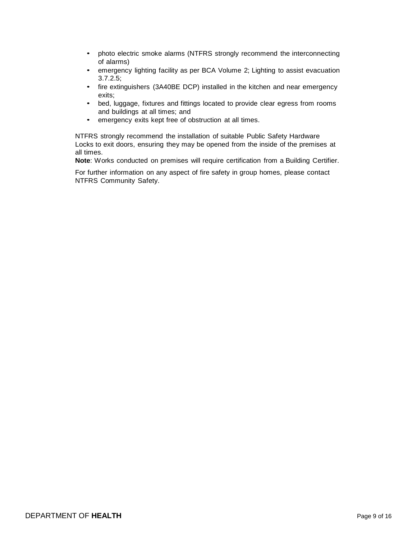- photo electric smoke alarms (NTFRS strongly recommend the interconnecting of alarms)
- emergency lighting facility as per BCA Volume 2; Lighting to assist evacuation 3.7.2.5;
- fire extinguishers (3A40BE DCP) installed in the kitchen and near emergency exits;
- bed, luggage, fixtures and fittings located to provide clear egress from rooms and buildings at all times; and
- emergency exits kept free of obstruction at all times.

NTFRS strongly recommend the installation of suitable Public Safety Hardware Locks to exit doors, ensuring they may be opened from the inside of the premises at all times.

**Note**: Works conducted on premises will require certification from a Building Certifier.

For further information on any aspect of fire safety in group homes, please contact NTFRS Community Safety.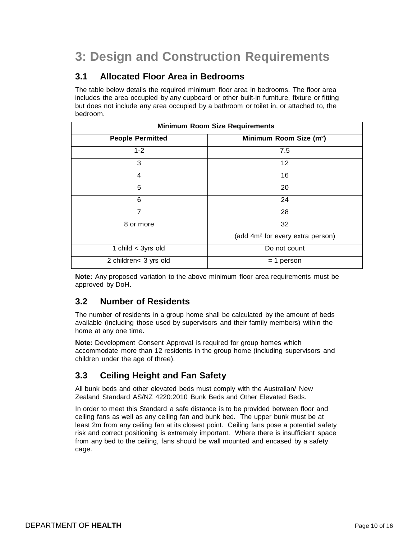# **3: Design and Construction Requirements**

# **3.1 Allocated Floor Area in Bedrooms**

The table below details the required minimum floor area in bedrooms. The floor area includes the area occupied by any cupboard or other built-in furniture, fixture or fitting but does not include any area occupied by a bathroom or toilet in, or attached to, the bedroom.

| <b>Minimum Room Size Requirements</b> |                                              |  |  |  |
|---------------------------------------|----------------------------------------------|--|--|--|
| <b>People Permitted</b>               | Minimum Room Size (m <sup>2</sup> )          |  |  |  |
| $1 - 2$                               | 7.5                                          |  |  |  |
| 3                                     | 12                                           |  |  |  |
| 4                                     | 16                                           |  |  |  |
| 5                                     | 20                                           |  |  |  |
| 6                                     | 24                                           |  |  |  |
| $\overline{7}$                        | 28                                           |  |  |  |
| 8 or more                             | 32                                           |  |  |  |
|                                       | (add 4m <sup>2</sup> for every extra person) |  |  |  |
| 1 child $<$ 3yrs old                  | Do not count                                 |  |  |  |
| 2 children< 3 yrs old                 | $= 1$ person                                 |  |  |  |

**Note:** Any proposed variation to the above minimum floor area requirements must be approved by DoH.

# **3.2 Number of Residents**

The number of residents in a group home shall be calculated by the amount of beds available (including those used by supervisors and their family members) within the home at any one time.

**Note:** Development Consent Approval is required for group homes which accommodate more than 12 residents in the group home (including supervisors and children under the age of three).

# **3.3 Ceiling Height and Fan Safety**

All bunk beds and other elevated beds must comply with the Australian/ New Zealand Standard AS/NZ 4220:2010 Bunk Beds and Other Elevated Beds.

In order to meet this Standard a safe distance is to be provided between floor and ceiling fans as well as any ceiling fan and bunk bed. The upper bunk must be at least 2m from any ceiling fan at its closest point. Ceiling fans pose a potential safety risk and correct positioning is extremely important. Where there is insufficient space from any bed to the ceiling, fans should be wall mounted and encased by a safety cage.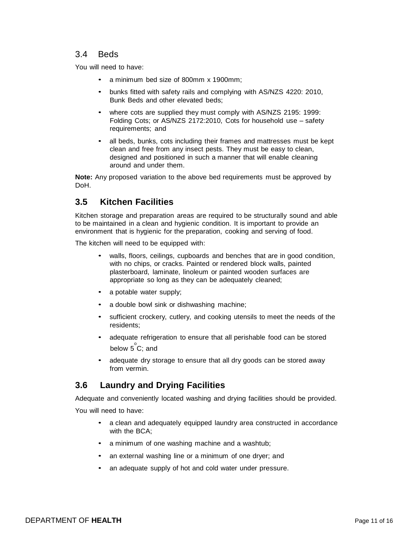### 3.4 Beds

You will need to have:

- a minimum bed size of 800mm x 1900mm;
- bunks fitted with safety rails and complying with AS/NZS 4220: 2010, Bunk Beds and other elevated beds;
- where cots are supplied they must comply with AS/NZS 2195: 1999: Folding Cots; or AS/NZS 2172:2010, Cots for household use – safety requirements; and
- all beds, bunks, cots including their frames and mattresses must be kept clean and free from any insect pests. They must be easy to clean, designed and positioned in such a manner that will enable cleaning around and under them.

**Note:** Any proposed variation to the above bed requirements must be approved by DoH.

# **3.5 Kitchen Facilities**

Kitchen storage and preparation areas are required to be structurally sound and able to be maintained in a clean and hygienic condition. It is important to provide an environment that is hygienic for the preparation, cooking and serving of food.

The kitchen will need to be equipped with:

- walls, floors, ceilings, cupboards and benches that are in good condition, with no chips, or cracks. Painted or rendered block walls, painted plasterboard, laminate, linoleum or painted wooden surfaces are appropriate so long as they can be adequately cleaned;
- a potable water supply;
- a double bowl sink or dishwashing machine;
- sufficient crockery, cutlery, and cooking utensils to meet the needs of the residents;
- adequate refrigeration to ensure that all perishable food can be stored below  $5^{\degree}$ C; and
- adequate dry storage to ensure that all dry goods can be stored away from vermin.

# **3.6 Laundry and Drying Facilities**

Adequate and conveniently located washing and drying facilities should be provided.

You will need to have:

- a clean and adequately equipped laundry area constructed in accordance with the BCA;
- a minimum of one washing machine and a washtub;
- an external washing line or a minimum of one dryer; and
- an adequate supply of hot and cold water under pressure.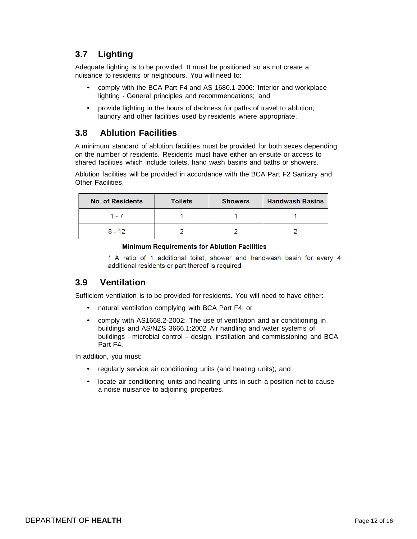# **3.7 Lighting**

Adequate lighting is to be provided. It must be positioned so as not create a nuisance to residents or neighbours. You will need to:

- comply with the BCA Part F4 and AS 1680.1-2006: Interior and workplace lighting - General principles and recommendations; and
- provide lighting in the hours of darkness for paths of travel to ablution, laundry and other facilities used by residents where appropriate.

### **3.8 Ablution Facilities**

A minimum standard of ablution facilities must be provided for both sexes depending on the number of residents. Residents must have either an ensuite or access to shared facilities which include toilets, hand wash basins and baths or showers.

Ablution facilities will be provided in accordance with the BCA Part F2 Sanitary and Other Facilities.

| <b>No. of Residents</b> | <b>Toilets</b> | <b>Showers</b> | <b>Handwash Basins</b> |
|-------------------------|----------------|----------------|------------------------|
| 1 - 7                   |                |                |                        |
| $8 - 12$                |                |                |                        |

#### **Minimum Requirements for Ablution Facilities**

\* A ratio of 1 additional toilet, shower and handwash basin for every 4 additional residents or part thereof is required.

# **3.9 Ventilation**

Sufficient ventilation is to be provided for residents. You will need to have either:

- natural ventilation complying with BCA Part F4; or
- comply with AS1668.2-2002: The use of ventilation and air conditioning in buildings and AS/NZS 3666.1:2002 Air handling and water systems of buildings - microbial control – design, instillation and commissioning and BCA Part F4.

In addition, you must:

- regularly service air conditioning units (and heating units); and
- locate air conditioning units and heating units in such a position not to cause a noise nuisance to adjoining properties.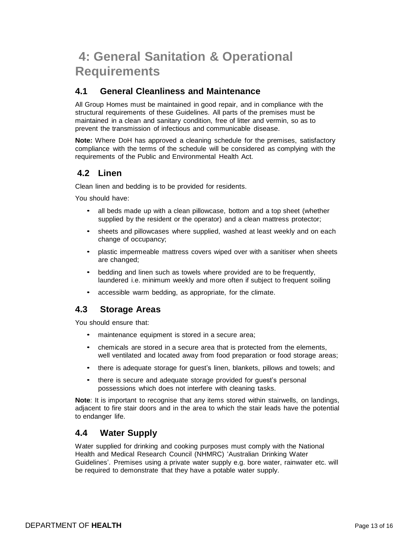# **4: General Sanitation & Operational Requirements**

# **4.1 General Cleanliness and Maintenance**

All Group Homes must be maintained in good repair, and in compliance with the structural requirements of these Guidelines. All parts of the premises must be maintained in a clean and sanitary condition, free of litter and vermin, so as to prevent the transmission of infectious and communicable disease.

**Note:** Where DoH has approved a cleaning schedule for the premises, satisfactory compliance with the terms of the schedule will be considered as complying with the requirements of the Public and Environmental Health Act.

# **4.2 Linen**

Clean linen and bedding is to be provided for residents.

You should have:

- all beds made up with a clean pillowcase, bottom and a top sheet (whether supplied by the resident or the operator) and a clean mattress protector;
- sheets and pillowcases where supplied, washed at least weekly and on each change of occupancy;
- plastic impermeable mattress covers wiped over with a sanitiser when sheets are changed;
- bedding and linen such as towels where provided are to be frequently, laundered i.e. minimum weekly and more often if subject to frequent soiling
- accessible warm bedding, as appropriate, for the climate.

# **4.3 Storage Areas**

You should ensure that:

- maintenance equipment is stored in a secure area;
- chemicals are stored in a secure area that is protected from the elements, well ventilated and located away from food preparation or food storage areas;
- there is adequate storage for guest's linen, blankets, pillows and towels; and
- there is secure and adequate storage provided for guest's personal possessions which does not interfere with cleaning tasks.

**Note**: It is important to recognise that any items stored within stairwells, on landings, adjacent to fire stair doors and in the area to which the stair leads have the potential to endanger life.

# **4.4 Water Supply**

Water supplied for drinking and cooking purposes must comply with the National Health and Medical Research Council (NHMRC) 'Australian Drinking Water Guidelines'. Premises using a private water supply e.g. bore water, rainwater etc. will be required to demonstrate that they have a potable water supply.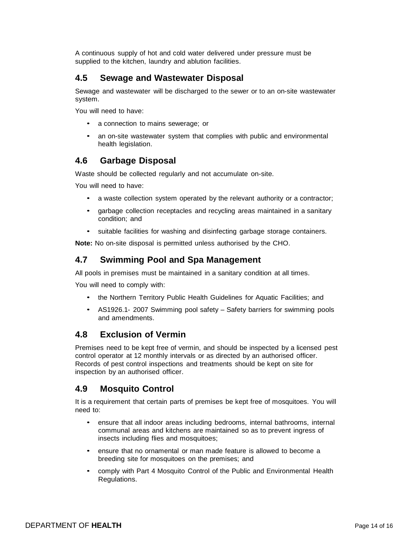A continuous supply of hot and cold water delivered under pressure must be supplied to the kitchen, laundry and ablution facilities.

# **4.5 Sewage and Wastewater Disposal**

Sewage and wastewater will be discharged to the sewer or to an on-site wastewater system.

You will need to have:

- a connection to mains sewerage; or
- an on-site wastewater system that complies with public and environmental health legislation.

### **4.6 Garbage Disposal**

Waste should be collected regularly and not accumulate on-site.

You will need to have:

- a waste collection system operated by the relevant authority or a contractor;
- garbage collection receptacles and recycling areas maintained in a sanitary condition; and
- suitable facilities for washing and disinfecting garbage storage containers.

**Note:** No on-site disposal is permitted unless authorised by the CHO.

### **4.7 Swimming Pool and Spa Management**

All pools in premises must be maintained in a sanitary condition at all times.

You will need to comply with:

- the Northern Territory Public Health Guidelines for Aquatic Facilities; and
- AS1926.1- 2007 Swimming pool safety Safety barriers for swimming pools and amendments.

### **4.8 Exclusion of Vermin**

Premises need to be kept free of vermin, and should be inspected by a licensed pest control operator at 12 monthly intervals or as directed by an authorised officer. Records of pest control inspections and treatments should be kept on site for inspection by an authorised officer.

# **4.9 Mosquito Control**

It is a requirement that certain parts of premises be kept free of mosquitoes. You will need to:

- ensure that all indoor areas including bedrooms, internal bathrooms, internal communal areas and kitchens are maintained so as to prevent ingress of insects including flies and mosquitoes;
- ensure that no ornamental or man made feature is allowed to become a breeding site for mosquitoes on the premises; and
- comply with Part 4 Mosquito Control of the Public and Environmental Health Regulations.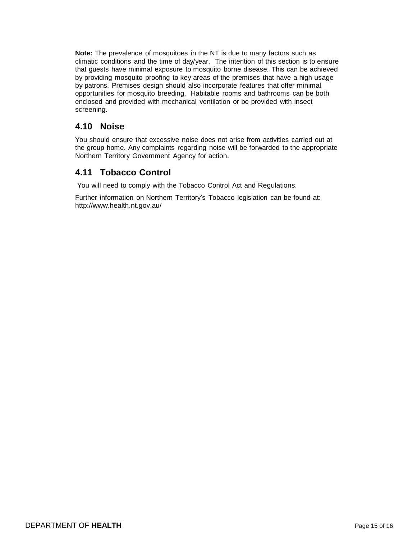**Note:** The prevalence of mosquitoes in the NT is due to many factors such as climatic conditions and the time of day/year. The intention of this section is to ensure that guests have minimal exposure to mosquito borne disease. This can be achieved by providing mosquito proofing to key areas of the premises that have a high usage by patrons. Premises design should also incorporate features that offer minimal opportunities for mosquito breeding. Habitable rooms and bathrooms can be both enclosed and provided with mechanical ventilation or be provided with insect screening.

# **4.10 Noise**

You should ensure that excessive noise does not arise from activities carried out at the group home. Any complaints regarding noise will be forwarded to the appropriate Northern Territory Government Agency for action.

# **4.11 Tobacco Control**

You will need to comply with the Tobacco Control Act and Regulations.

Further information on Northern Territory's Tobacco legislation can be found at: <http://www.health.nt.gov.au/>